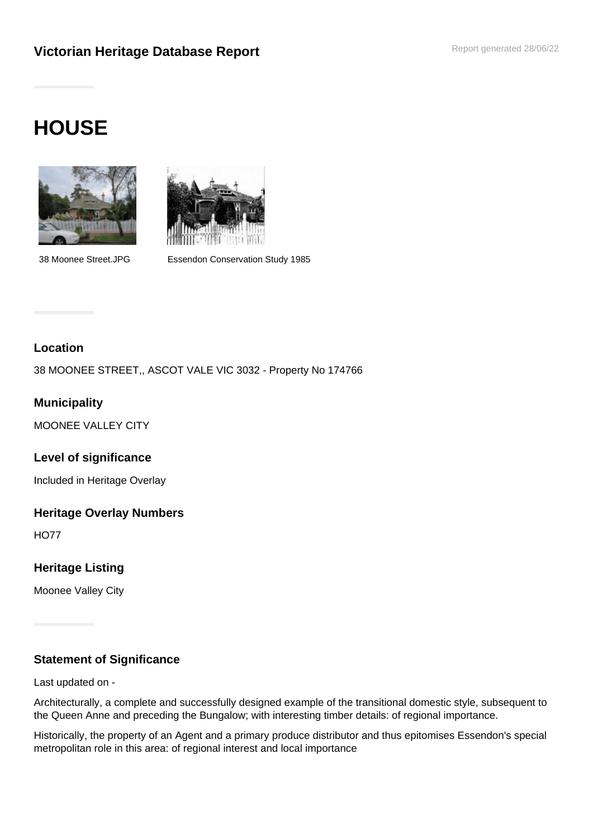# **Victorian Heritage Database Report <b>Report Additional Proper Parameter** Report generated 28/06/22

# **HOUSE**





38 Moonee Street.JPG Essendon Conservation Study 1985

# **Location**

38 MOONEE STREET,, ASCOT VALE VIC 3032 - Property No 174766

# **Municipality**

MOONEE VALLEY CITY

#### **Level of significance**

Included in Heritage Overlay

#### **Heritage Overlay Numbers**

HO77

# **Heritage Listing**

Moonee Valley City

#### **Statement of Significance**

Last updated on -

Architecturally, a complete and successfully designed example of the transitional domestic style, subsequent to the Queen Anne and preceding the Bungalow; with interesting timber details: of regional importance.

Historically, the property of an Agent and a primary produce distributor and thus epitomises Essendon's special metropolitan role in this area: of regional interest and local importance